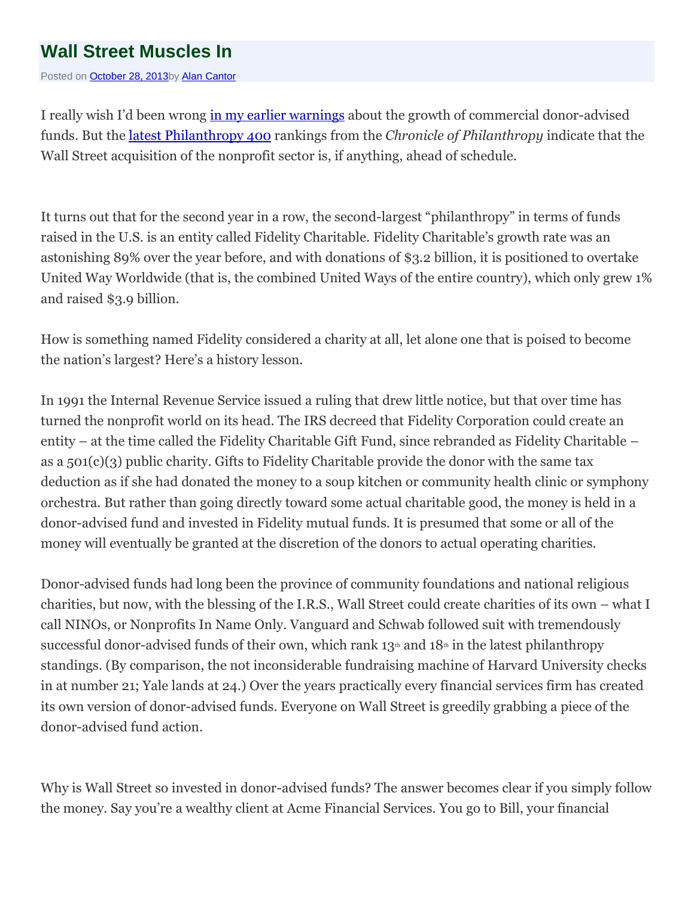## **Wall Street [Muscles](http://alancantorconsulting.wordpress.com/2013/10/28/wall-street-muscles-in/) In**

Posted on [October](http://alancantorconsulting.wordpress.com/2013/10/28/wall-street-muscles-in/) 28, 2013by Alan [Cantor](http://alancantorconsulting.wordpress.com/author/alancantorconsulting/)

I really wish I'd been wrong in my earlier [warnings](http://alancantorconsulting.wordpress.com/2013/01/28/deluge/) about the growth of commercial donor-advised funds. But the latest [Philanthropy](http://philanthropy.com/factfile/phil400) 400 rankings from the *Chronicle of Philanthropy* indicate that the Wall Street acquisition of the nonprofit sector is, if anything, ahead of schedule.

It turns out that for the second year in a row, the second-largest "philanthropy" in terms of funds raised in the U.S. is an entity called Fidelity Charitable. Fidelity Charitable's growth rate was an astonishing 89% over the year before, and with donations of \$3.2 billion, it is positioned to overtake United Way Worldwide (that is, the combined United Ways of the entire country), which only grew 1% and raised \$3.9 billion.

How is something named Fidelity considered a charity at all, let alone one that is poised to become the nation's largest? Here's a history lesson.

In 1991 the Internal Revenue Service issued a ruling that drew little notice, but that over time has turned the nonprofit world on its head. The IRS decreed that Fidelity Corporation could create an entity – at the time called the Fidelity Charitable Gift Fund, since rebranded as Fidelity Charitable – as a 501(c)(3) public charity. Gifts to Fidelity Charitable provide the donor with the same tax deduction as if she had donated the money to a soup kitchen or community health clinic or symphony orchestra. But rather than going directly toward some actual charitable good, the money is held in a donor-advised fund and invested in Fidelity mutual funds. It is presumed that some or all of the money will eventually be granted at the discretion of the donors to actual operating charities.

Donor-advised funds had long been the province of community foundations and national religious charities, but now, with the blessing of the I.R.S., Wall Street could create charities of its own – what I call NINOs, or Nonprofits In Name Only. Vanguard and Schwab followed suit with tremendously successful donor-advised funds of their own, which rank  $13<sup>th</sup>$  and  $18<sup>th</sup>$  in the latest philanthropy standings. (By comparison, the not inconsiderable fundraising machine of Harvard University checks in at number 21; Yale lands at 24.) Over the years practically every financial services firm has created its own version of donor-advised funds. Everyone on Wall Street is greedily grabbing a piece of the donor-advised fund action.

Why is Wall Street so invested in donor-advised funds? The answer becomes clear if you simply follow the money. Say you're a wealthy client at Acme Financial Services. You go to Bill, your financial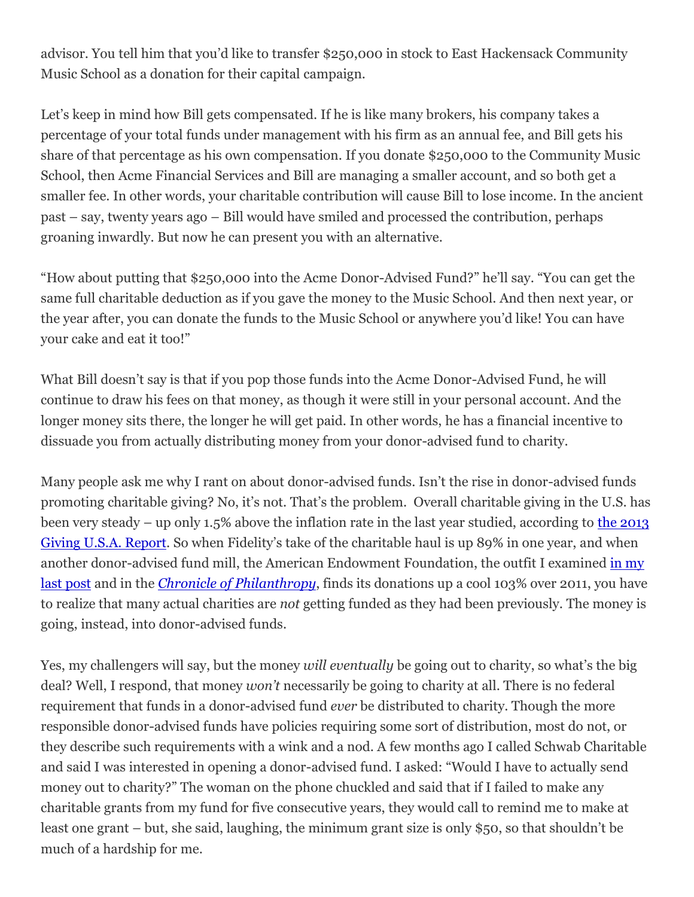advisor. You tell him that you'd like to transfer \$250,000 in stock to East Hackensack Community Music School as a donation for their capital campaign.

Let's keep in mind how Bill gets compensated. If he is like many brokers, his company takes a percentage of your total funds under management with his firm as an annual fee, and Bill gets his share of that percentage as his own compensation. If you donate \$250,000 to the Community Music School, then Acme Financial Services and Bill are managing a smaller account, and so both get a smaller fee. In other words, your charitable contribution will cause Bill to lose income. In the ancient past – say, twenty years ago – Bill would have smiled and processed the contribution, perhaps groaning inwardly. But now he can present you with an alternative.

"How about putting that \$250,000 into the Acme Donor-Advised Fund?" he'll say. "You can get the same full charitable deduction as if you gave the money to the Music School. And then next year, or the year after, you can donate the funds to the Music School or anywhere you'd like! You can have your cake and eat it too!"

What Bill doesn't say is that if you pop those funds into the Acme Donor-Advised Fund, he will continue to draw his fees on that money, as though it were still in your personal account. And the longer money sits there, the longer he will get paid. In other words, he has a financial incentive to dissuade you from actually distributing money from your donor-advised fund to charity.

Many people ask me why I rant on about donor-advised funds. Isn't the rise in donor-advised funds promoting charitable giving? No, it's not. That's the problem. Overall charitable giving in the U.S. has been very steady – up only 1.5% above the inflation rate in the last year studied, according to the [2013](http://store.givingusareports.org/Giving-USA-2013-Report-Highlights-P98.aspx) Giving U.S.A. [Report](http://store.givingusareports.org/Giving-USA-2013-Report-Highlights-P98.aspx). So when Fidelity's take of the charitable haul is up 89% in one year, and when another donor-advised fund mill, the American Endowment Foundation, the outfit I examined in [my](http://alancantorconsulting.wordpress.com/2013/10/07/missing-the-obvious-in-nonprofit-ratings/) last [post](http://alancantorconsulting.wordpress.com/2013/10/07/missing-the-obvious-in-nonprofit-ratings/) and in the *Chronicle of [Philanthropy](http://philanthropy.com/article/Charity-Navigator-s/142063/)*, finds its donations up a cool 103% over 2011, you have to realize that many actual charities are *not* getting funded as they had been previously. The money is going, instead, into donor-advised funds.

Yes, my challengers will say, but the money *will eventually* be going out to charity, so what's the big deal? Well, I respond, that money *won't* necessarily be going to charity at all. There is no federal requirement that funds in a donor-advised fund *ever* be distributed to charity. Though the more responsible donor-advised funds have policies requiring some sort of distribution, most do not, or they describe such requirements with a wink and a nod. A few months ago I called Schwab Charitable and said I was interested in opening a donor-advised fund. I asked: "Would I have to actually send money out to charity?" The woman on the phone chuckled and said that if I failed to make any charitable grants from my fund for five consecutive years, they would call to remind me to make at least one grant – but, she said, laughing, the minimum grant size is only \$50, so that shouldn't be much of a hardship for me.